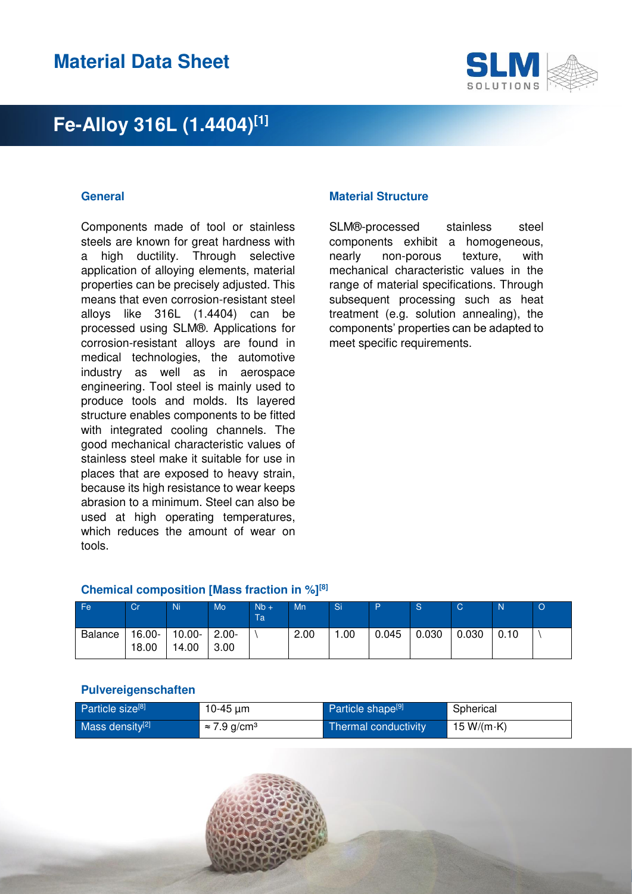

Components made of tool or stainless steels are known for great hardness with a high ductility. Through selective application of alloying elements, material properties can be precisely adjusted. This means that even corrosion-resistant steel alloys like 316L (1.4404) can be processed using SLM®. Applications for corrosion-resistant alloys are found in medical technologies, the automotive industry as well as in aerospace engineering. Tool steel is mainly used to produce tools and molds. Its layered structure enables components to be fitted with integrated cooling channels. The good mechanical characteristic values of stainless steel make it suitable for use in places that are exposed to heavy strain, because its high resistance to wear keeps abrasion to a minimum. Steel can also be used at high operating temperatures, which reduces the amount of wear on tools.

#### **General Material Structure**

SLM®-processed stainless steel components exhibit a homogeneous, nearly non-porous texture, with mechanical characteristic values in the range of material specifications. Through subsequent processing such as heat treatment (e.g. solution annealing), the components' properties can be adapted to meet specific requirements.

#### **Chemical composition [Mass fraction in %][8]**

| Fe             | Cr              | Ni              | Mo               | $Nb +$<br>Ta <sup>1</sup> | Mn   | <b>Si</b> | D     | <sub>S</sub> | C     | $\mathsf{N}$ | $\circ$ |
|----------------|-----------------|-----------------|------------------|---------------------------|------|-----------|-------|--------------|-------|--------------|---------|
| <b>Balance</b> | 16.00-<br>18.00 | 10.00-<br>14.00 | $2.00 -$<br>3.00 |                           | 2.00 | .00       | 0.045 | 0.030        | 0.030 | 0.10         |         |

#### **Pulvereigenschaften**

| Particle size <sup>[8]</sup> | 10-45 $\mu$ m                   | Particle shape <sup>[9]</sup> | Spherical          |
|------------------------------|---------------------------------|-------------------------------|--------------------|
| Mass density <sup>[2]</sup>  | $\approx$ 7.9 g/cm <sup>3</sup> | Thermal conductivity          | 15 W/(m $\cdot$ K) |

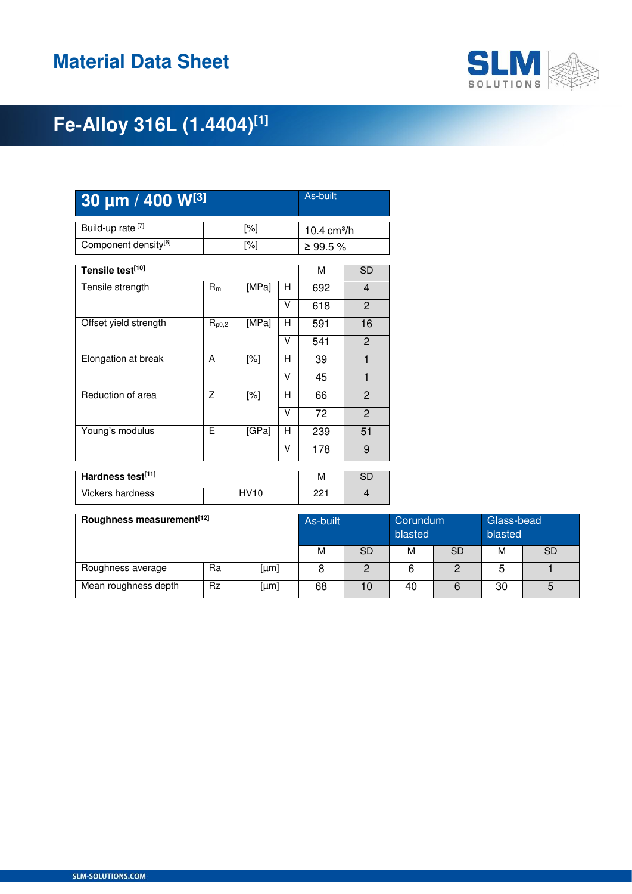

| 30 um / 400 W[3]                 | As-built   |             |                |                        |                |  |
|----------------------------------|------------|-------------|----------------|------------------------|----------------|--|
| Build-up rate <sup>[7]</sup>     |            | [%]         |                | $10.4 \text{ cm}^3$ /h |                |  |
| Component density <sup>[6]</sup> |            | [%]         | $\geq 99.5 \%$ |                        |                |  |
| Tensile test[10]                 |            |             |                | M                      | <b>SD</b>      |  |
| Tensile strength                 | $R_m$      | [MPa]       | н              | 692                    | $\overline{4}$ |  |
|                                  |            |             | V              | 618                    | $\overline{2}$ |  |
| Offset yield strength            | $R_{p0,2}$ | [MPa]       | н              | 591                    | 16             |  |
|                                  |            |             | V              | 541                    | 2              |  |
| Elongation at break              | A          | [%]         | н              | 39                     | 1              |  |
|                                  |            |             | v              | 45                     | 1              |  |
| Reduction of area                | Z          | [%]         | н              | 66                     | $\overline{2}$ |  |
|                                  |            |             | V              | 72                     | $\overline{2}$ |  |
| Young's modulus                  | E          | [GPa]       | H              | 239                    | 51             |  |
|                                  |            |             | v              | 178                    | 9              |  |
| Hardness test[11]                |            |             |                | M                      | <b>SD</b>      |  |
|                                  |            |             |                |                        |                |  |
| <b>Vickers hardness</b>          |            | <b>HV10</b> |                | 221                    | $\overline{4}$ |  |

| Roughness measurement <sup>[12]</sup> | As-built  |      | Glass-bead<br>Corundum<br>blasted<br>blasted |    |    |           |    |           |
|---------------------------------------|-----------|------|----------------------------------------------|----|----|-----------|----|-----------|
|                                       |           |      | M                                            | SD | м  | <b>SD</b> | м  | <b>SD</b> |
| Roughness average                     | Ra        | [µm] |                                              | ◠  |    |           |    |           |
| Mean roughness depth                  | <b>Rz</b> | [µm] | 68                                           | 10 | 40 |           | 30 |           |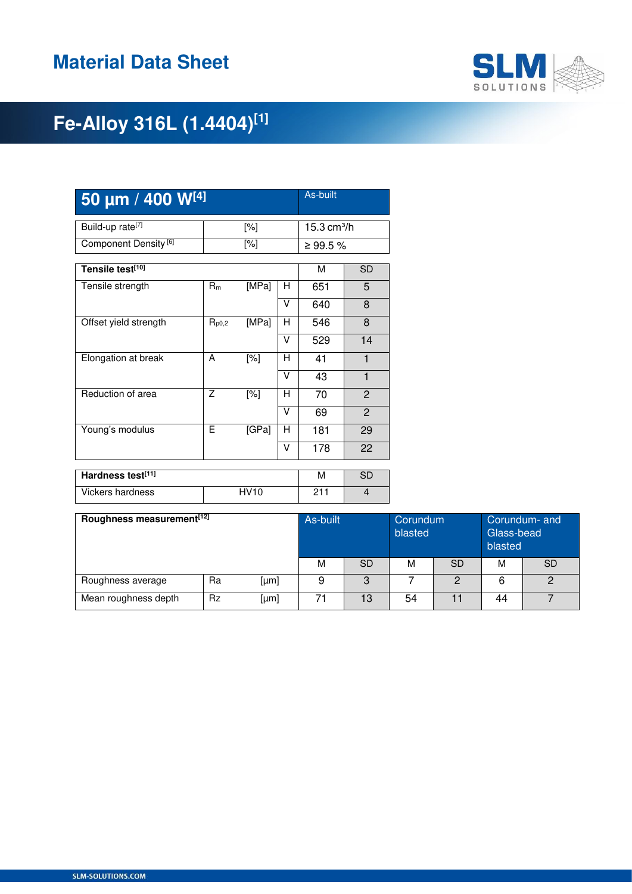

| 50 µm / 400 W[4]                 | As-built   |             |        |                        |                |  |
|----------------------------------|------------|-------------|--------|------------------------|----------------|--|
| Build-up rate <sup>[7]</sup>     |            | [%]         |        | $15.3 \text{ cm}^3$ /h |                |  |
| Component Density <sup>[6]</sup> |            | [%]         |        | ≥ 99.5 %               |                |  |
| Tensile test[10]                 |            |             |        | M                      | <b>SD</b>      |  |
| Tensile strength                 | $R_m$      | [MPa]       | н      | 651                    | 5              |  |
|                                  |            |             | V      | 640                    | 8              |  |
| Offset yield strength            | $R_{p0,2}$ | [MPa]       | н      | 546                    | 8              |  |
|                                  |            |             | v      | 529                    | 14             |  |
| Elongation at break              | A          | [%]         | н      | 41                     | 1              |  |
|                                  |            |             | V      | 43                     | $\mathbf{1}$   |  |
| Reduction of area                | Z          | [%]         | н      | 70                     | $\overline{c}$ |  |
|                                  |            |             | $\vee$ | 69                     | $\overline{2}$ |  |
| Young's modulus                  | Е          | [GPa]       | н      | 181                    | 29             |  |
|                                  |            |             | v      | 178                    | 22             |  |
| Hardness test[11]                | M          | <b>SD</b>   |        |                        |                |  |
|                                  |            |             |        |                        |                |  |
| <b>Vickers hardness</b>          |            | <b>HV10</b> |        | 211                    | $\overline{4}$ |  |

| Roughness measurement <sup>[12]</sup> |           |      | As-built |           | Corundum<br>blasted |         | Corundum- and<br>Glass-bead<br>blasted |           |
|---------------------------------------|-----------|------|----------|-----------|---------------------|---------|----------------------------------------|-----------|
|                                       |           |      | M        | <b>SD</b> | M                   | SD      | М                                      | <b>SD</b> |
| Roughness average                     | Ra        | [µm] |          | 3         |                     | $\circ$ |                                        | 2         |
| Mean roughness depth                  | <b>Rz</b> | [µm] | 71       | 13        | 54                  |         | 44                                     |           |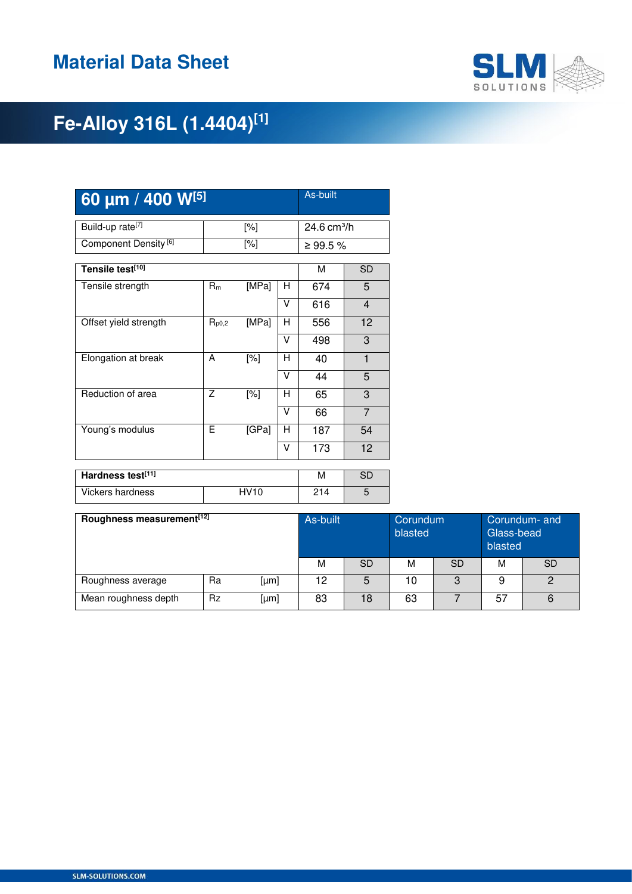

| 60 um / 400 W <sup>[5]</sup>     | As-built   |             |                         |           |                |  |
|----------------------------------|------------|-------------|-------------------------|-----------|----------------|--|
| Build-up rate <sup>[7]</sup>     |            | [%]         | 24.6 cm <sup>3</sup> /h |           |                |  |
| Component Density <sup>[6]</sup> |            | [%]         |                         | ≥ 99.5 %  |                |  |
| Tensile test[10]                 |            |             |                         | м         | SD             |  |
| Tensile strength                 | $R_m$      | [MPa]       | н                       | 674       | 5              |  |
|                                  |            |             | v                       | 616       | 4              |  |
| Offset yield strength            | $R_{p0,2}$ | [MPa]       | н                       | 556       | 12             |  |
|                                  |            |             | V                       | 498       | 3              |  |
| Elongation at break              | A          | [%]         | н                       | 40        | $\mathbf{1}$   |  |
|                                  |            |             | $\vee$                  | 44        | 5              |  |
| Reduction of area                | Z          | [%]         | н                       | 65        | 3              |  |
|                                  |            |             | V                       | 66        | $\overline{7}$ |  |
| Young's modulus                  | F          | [GPa]       | н                       | 187       | 54             |  |
|                                  |            |             | v                       | 173       | 12             |  |
| Hardness test[11]                |            |             | M                       | <b>SD</b> |                |  |
|                                  |            |             |                         |           |                |  |
| <b>Vickers hardness</b>          |            | <b>HV10</b> |                         | 214       | 5              |  |

| Roughness measurement <sup>[12]</sup> |           |      | As-built |    | Corundum<br>blasted |    | Corundum- and<br>Glass-bead<br>blasted |           |
|---------------------------------------|-----------|------|----------|----|---------------------|----|----------------------------------------|-----------|
|                                       |           |      | M        | SD | м                   | SD | м                                      | <b>SD</b> |
| Roughness average                     | Ra        | [µm] | 12       | 5  | 10                  | 3  | 9                                      | 2         |
| Mean roughness depth                  | <b>Rz</b> | [µm] | 83       | 18 | 63                  |    | 57                                     | 6         |